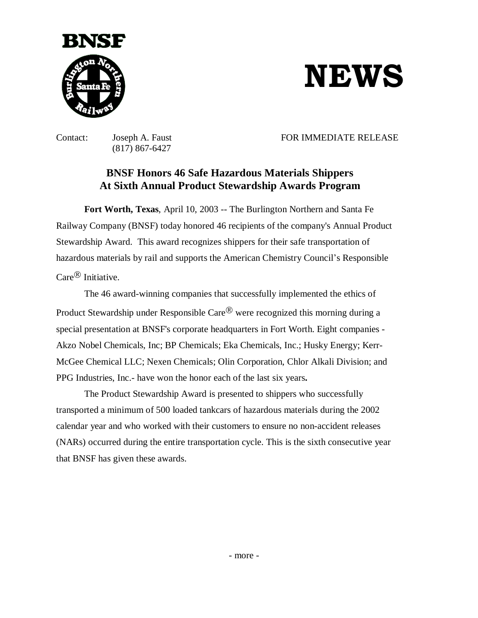

## **NEWS**

(817) 867-6427

Contact: Joseph A. Faust FOR IMMEDIATE RELEASE

## **BNSF Honors 46 Safe Hazardous Materials Shippers At Sixth Annual Product Stewardship Awards Program**

**Fort Worth, Texas**, April 10, 2003 -- The Burlington Northern and Santa Fe Railway Company (BNSF) today honored 46 recipients of the company's Annual Product Stewardship Award. This award recognizes shippers for their safe transportation of hazardous materials by rail and supports the American Chemistry Council's Responsible  $Care^{\textcircled{R}}$  Initiative.

The 46 award-winning companies that successfully implemented the ethics of Product Stewardship under Responsible Care $^{\circledR}$  were recognized this morning during a special presentation at BNSF's corporate headquarters in Fort Worth. Eight companies - Akzo Nobel Chemicals, Inc; BP Chemicals; Eka Chemicals, Inc.; Husky Energy; Kerr-McGee Chemical LLC; Nexen Chemicals; Olin Corporation, Chlor Alkali Division; and PPG Industries, Inc.- have won the honor each of the last six years**.**

The Product Stewardship Award is presented to shippers who successfully transported a minimum of 500 loaded tankcars of hazardous materials during the 2002 calendar year and who worked with their customers to ensure no non-accident releases (NARs) occurred during the entire transportation cycle. This is the sixth consecutive year that BNSF has given these awards.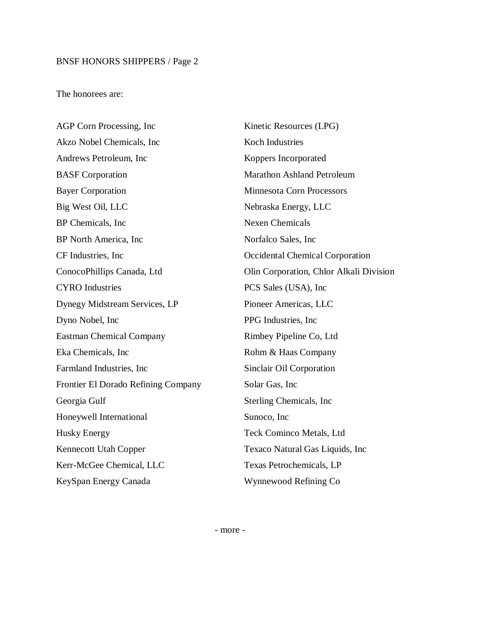## BNSF HONORS SHIPPERS / Page 2

The honorees are:

AGP Corn Processing, Inc Akzo Nobel Chemicals, Inc Andrews Petroleum, Inc BASF Corporation Bayer Corporation Big West Oil, LLC BP Chemicals, Inc BP North America, Inc CF Industries, Inc ConocoPhillips Canada, Ltd CYRO Industries Dynegy Midstream Services, LP Dyno Nobel, Inc Eastman Chemical Company Eka Chemicals, Inc Farmland Industries, Inc Frontier El Dorado Refining Company Georgia Gulf Honeywell International Husky Energy Kennecott Utah Copper Kerr-McGee Chemical, LLC KeySpan Energy Canada

Kinetic Resources (LPG) Koch Industries Koppers Incorporated Marathon Ashland Petroleum Minnesota Corn Processors Nebraska Energy, LLC Nexen Chemicals Norfalco Sales, Inc Occidental Chemical Corporation Olin Corporation, Chlor Alkali Division PCS Sales (USA), Inc Pioneer Americas, LLC PPG Industries, Inc Rimbey Pipeline Co, Ltd Rohm & Haas Company Sinclair Oil Corporation Solar Gas, Inc Sterling Chemicals, Inc Sunoco, Inc Teck Cominco Metals, Ltd Texaco Natural Gas Liquids, Inc Texas Petrochemicals, LP Wynnewood Refining Co